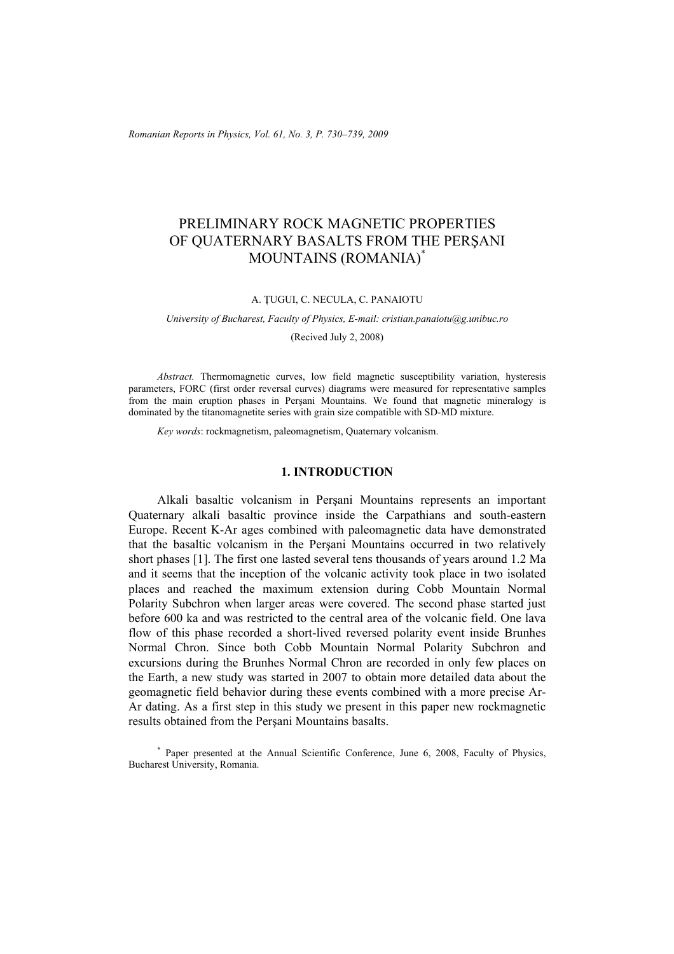*Romanian Reports in Physics, Vol. 61, No. 3, P. 730–739, 2009*

# PRELIMINARY ROCK MAGNETIC PROPERTIES OF QUATERNARY BASALTS FROM THE PERŞANI MOUNTAINS (ROMANIA)\*

A. ŢUGUI, C. NECULA, C. PANAIOTU

*University of Bucharest, Faculty of Physics, E-mail: cristian.panaiotu@g.unibuc.ro* 

(Recived July 2, 2008)

*Abstract.* Thermomagnetic curves, low field magnetic susceptibility variation, hysteresis parameters, FORC (first order reversal curves) diagrams were measured for representative samples from the main eruption phases in Perşani Mountains. We found that magnetic mineralogy is dominated by the titanomagnetite series with grain size compatible with SD-MD mixture.

*Key words*: rockmagnetism, paleomagnetism, Quaternary volcanism.

## **1. INTRODUCTION**

Alkali basaltic volcanism in Perşani Mountains represents an important Quaternary alkali basaltic province inside the Carpathians and south-eastern Europe. Recent K-Ar ages combined with paleomagnetic data have demonstrated that the basaltic volcanism in the Perşani Mountains occurred in two relatively short phases [1]. The first one lasted several tens thousands of years around 1.2 Ma and it seems that the inception of the volcanic activity took place in two isolated places and reached the maximum extension during Cobb Mountain Normal Polarity Subchron when larger areas were covered. The second phase started just before 600 ka and was restricted to the central area of the volcanic field. One lava flow of this phase recorded a short-lived reversed polarity event inside Brunhes Normal Chron. Since both Cobb Mountain Normal Polarity Subchron and excursions during the Brunhes Normal Chron are recorded in only few places on the Earth, a new study was started in 2007 to obtain more detailed data about the geomagnetic field behavior during these events combined with a more precise Ar-Ar dating. As a first step in this study we present in this paper new rockmagnetic results obtained from the Perşani Mountains basalts.

\* Paper presented at the Annual Scientific Conference, June 6, 2008, Faculty of Physics, Bucharest University, Romania.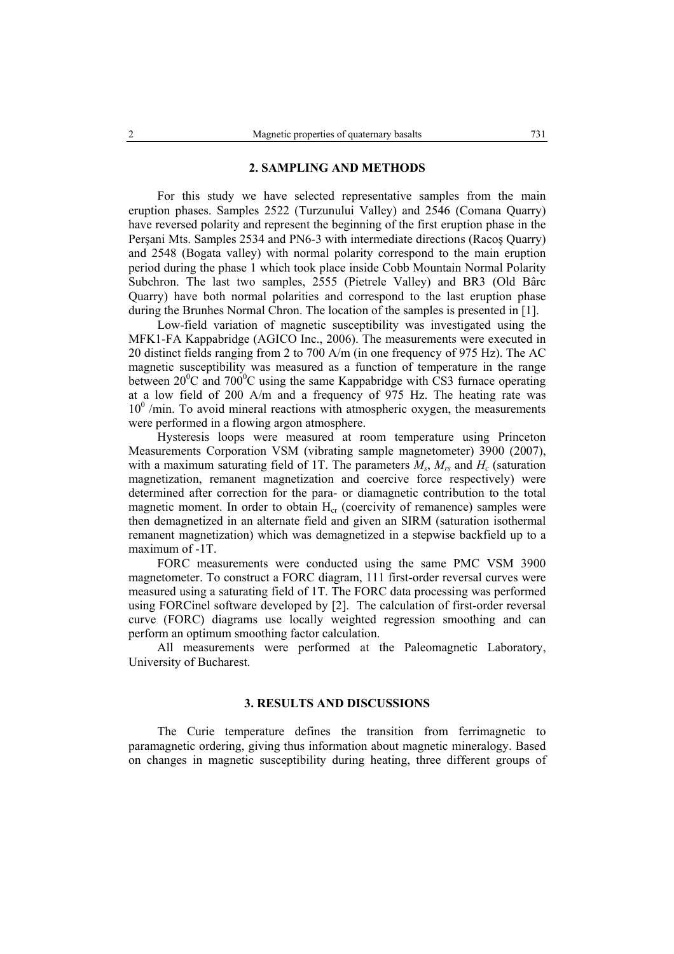### **2. SAMPLING AND METHODS**

For this study we have selected representative samples from the main eruption phases. Samples 2522 (Turzunului Valley) and 2546 (Comana Quarry) have reversed polarity and represent the beginning of the first eruption phase in the Perşani Mts. Samples 2534 and PN6-3 with intermediate directions (Racoş Quarry) and 2548 (Bogata valley) with normal polarity correspond to the main eruption period during the phase 1 which took place inside Cobb Mountain Normal Polarity Subchron. The last two samples, 2555 (Pietrele Valley) and BR3 (Old Bârc Quarry) have both normal polarities and correspond to the last eruption phase during the Brunhes Normal Chron. The location of the samples is presented in [1].

Low-field variation of magnetic susceptibility was investigated using the MFK1-FA Kappabridge (AGICO Inc., 2006). The measurements were executed in 20 distinct fields ranging from 2 to 700 A/m (in one frequency of 975 Hz). The AC magnetic susceptibility was measured as a function of temperature in the range between  $20^{\circ}$ C and  $700^{\circ}$ C using the same Kappabridge with CS3 furnace operating at a low field of 200 A/m and a frequency of 975 Hz. The heating rate was  $10<sup>0</sup>$  /min. To avoid mineral reactions with atmospheric oxygen, the measurements were performed in a flowing argon atmosphere.

Hysteresis loops were measured at room temperature using Princeton Measurements Corporation VSM (vibrating sample magnetometer) 3900 (2007), with a maximum saturating field of 1T. The parameters  $M_s$ ,  $M_{rs}$  and  $H_c$  (saturation magnetization, remanent magnetization and coercive force respectively) were determined after correction for the para- or diamagnetic contribution to the total magnetic moment. In order to obtain  $H_{cr}$  (coercivity of remanence) samples were then demagnetized in an alternate field and given an SIRM (saturation isothermal remanent magnetization) which was demagnetized in a stepwise backfield up to a maximum of -1T.

FORC measurements were conducted using the same PMC VSM 3900 magnetometer. To construct a FORC diagram, 111 first-order reversal curves were measured using a saturating field of 1T. The FORC data processing was performed using FORCinel software developed by [2]. The calculation of first-order reversal curve (FORC) diagrams use locally weighted regression smoothing and can perform an optimum smoothing factor calculation.

All measurements were performed at the Paleomagnetic Laboratory, University of Bucharest.

## **3. RESULTS AND DISCUSSIONS**

The Curie temperature defines the transition from ferrimagnetic to paramagnetic ordering, giving thus information about magnetic mineralogy. Based on changes in magnetic susceptibility during heating, three different groups of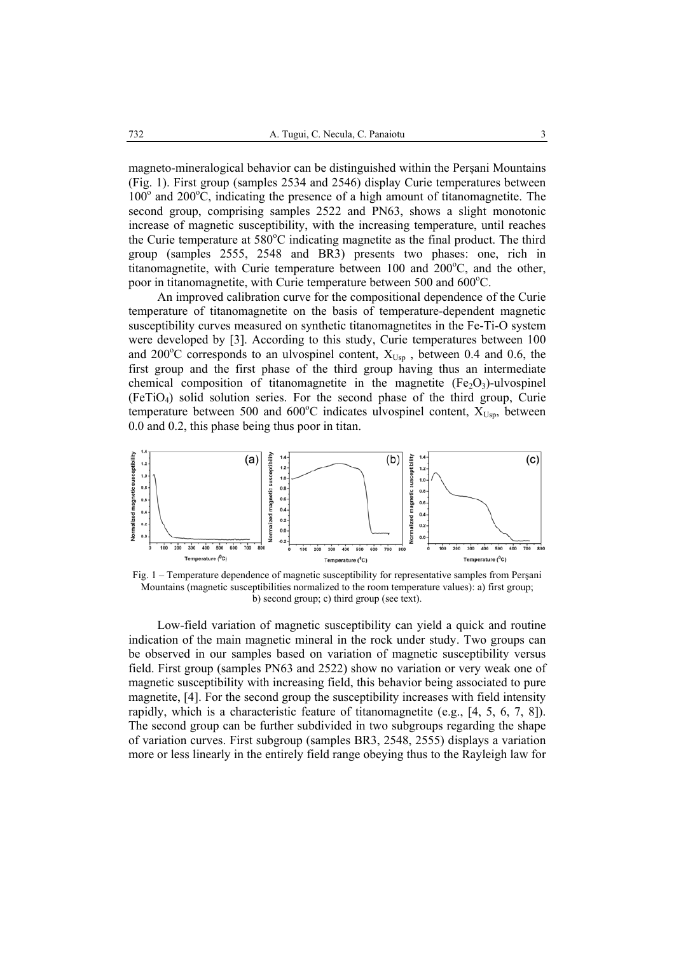magneto-mineralogical behavior can be distinguished within the Perşani Mountains (Fig. 1). First group (samples 2534 and 2546) display Curie temperatures between  $100^{\circ}$  and  $200^{\circ}$ C, indicating the presence of a high amount of titanomagnetite. The second group, comprising samples 2522 and PN63, shows a slight monotonic increase of magnetic susceptibility, with the increasing temperature, until reaches the Curie temperature at  $580^{\circ}$ C indicating magnetite as the final product. The third group (samples 2555, 2548 and BR3) presents two phases: one, rich in titanomagnetite, with Curie temperature between  $100$  and  $200^{\circ}$ C, and the other, poor in titanomagnetite, with Curie temperature between 500 and 600°C.

An improved calibration curve for the compositional dependence of the Curie temperature of titanomagnetite on the basis of temperature-dependent magnetic susceptibility curves measured on synthetic titanomagnetites in the Fe-Ti-O system were developed by [3]. According to this study, Curie temperatures between 100 and 200°C corresponds to an ulvospinel content,  $X_{Usp}$  , between 0.4 and 0.6, the first group and the first phase of the third group having thus an intermediate chemical composition of titanomagnetite in the magnetite  $(Fe_2O_3)$ -ulvospinel (FeTiO4) solid solution series. For the second phase of the third group, Curie temperature between 500 and 600°C indicates ulvospinel content,  $X_{Usp}$ , between 0.0 and 0.2, this phase being thus poor in titan.



Fig. 1 – Temperature dependence of magnetic susceptibility for representative samples from Perşani Mountains (magnetic susceptibilities normalized to the room temperature values): a) first group; b) second group; c) third group (see text).

Low-field variation of magnetic susceptibility can yield a quick and routine indication of the main magnetic mineral in the rock under study. Two groups can be observed in our samples based on variation of magnetic susceptibility versus field. First group (samples PN63 and 2522) show no variation or very weak one of magnetic susceptibility with increasing field, this behavior being associated to pure magnetite, [4]. For the second group the susceptibility increases with field intensity rapidly, which is a characteristic feature of titanomagnetite (e.g.,  $[4, 5, 6, 7, 8]$ ). The second group can be further subdivided in two subgroups regarding the shape of variation curves. First subgroup (samples BR3, 2548, 2555) displays a variation more or less linearly in the entirely field range obeying thus to the Rayleigh law for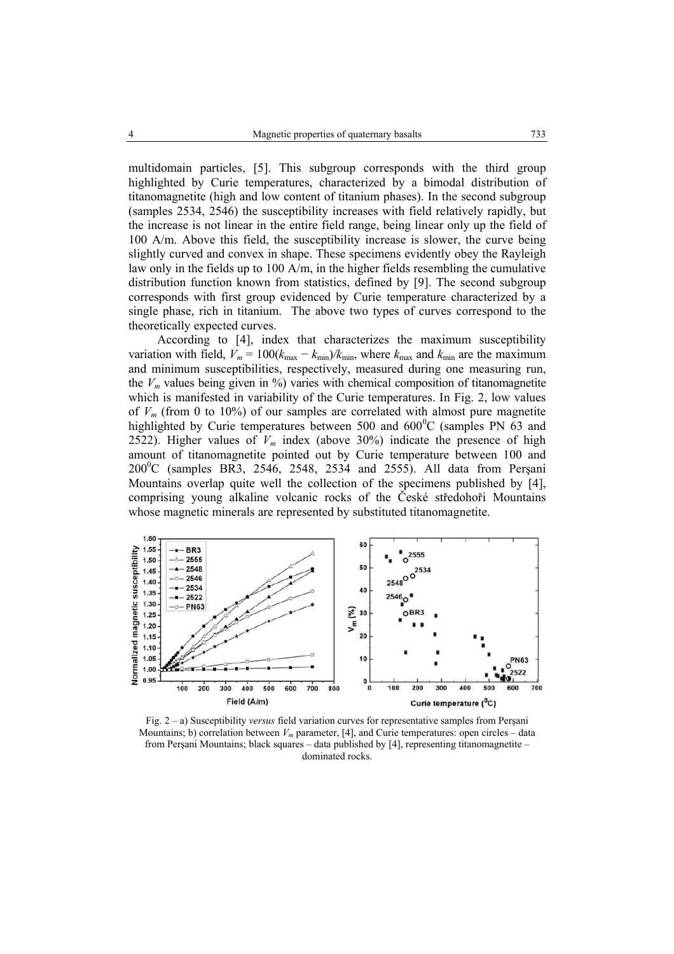multidomain particles, [5]. This subgroup corresponds with the third group highlighted by Curie temperatures, characterized by a bimodal distribution of titanomagnetite (high and low content of titanium phases). In the second subgroup (samples 2534, 2546) the susceptibility increases with field relatively rapidly, but the increase is not linear in the entire field range, being linear only up the field of 100 A/m. Above this field, the susceptibility increase is slower, the curve being slightly curved and convex in shape. These specimens evidently obey the Rayleigh law only in the fields up to 100 A/m, in the higher fields resembling the cumulative distribution function known from statistics, defined by [9]. The second subgroup corresponds with first group evidenced by Curie temperature characterized by a single phase, rich in titanium. The above two types of curves correspond to the theoretically expected curves.

According to [4], index that characterizes the maximum susceptibility variation with field,  $V_m = 100(k_{\text{max}} - k_{\text{min}})/k_{\text{min}}$ , where  $k_{\text{max}}$  and  $k_{\text{min}}$  are the maximum and minimum susceptibilities, respectively, measured during one measuring run, the  $V_m$  values being given in %) varies with chemical composition of titanomagnetite which is manifested in variability of the Curie temperatures. In Fig. 2, low values of  $V_m$  (from 0 to 10%) of our samples are correlated with almost pure magnetite highlighted by Curie temperatures between 500 and  $600^{\circ}$ C (samples PN  $\overline{63}$  and 2522). Higher values of  $V_m$  index (above 30%) indicate the presence of high amount of titanomagnetite pointed out by Curie temperature between 100 and  $200^{\circ}$ C (samples BR3, 2546, 2548, 2534 and 2555). All data from Perşani Mountains overlap quite well the collection of the specimens published by [4], comprising young alkaline volcanic rocks of the České středohoři Mountains whose magnetic minerals are represented by substituted titanomagnetite.



Fig. 2 – a) Susceptibility *versus* field variation curves for representative samples from Perşani Mountains; b) correlation between  $V_m$  parameter, [4], and Curie temperatures: open circles – data from Perşani Mountains; black squares – data published by [4], representing titanomagnetite – dominated rocks.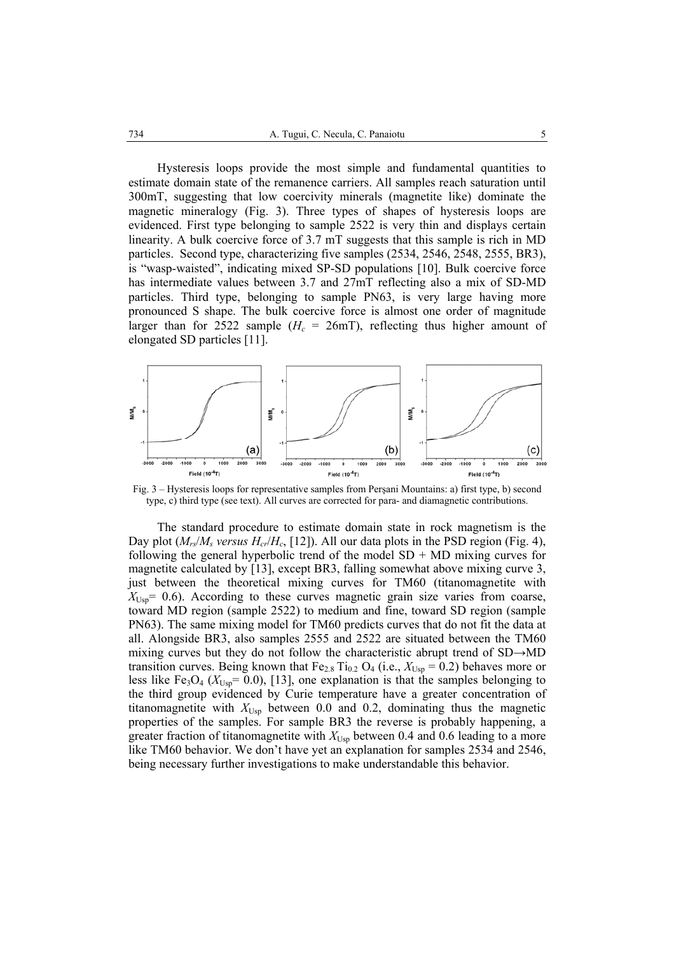Hysteresis loops provide the most simple and fundamental quantities to estimate domain state of the remanence carriers. All samples reach saturation until 300mT, suggesting that low coercivity minerals (magnetite like) dominate the magnetic mineralogy (Fig. 3). Three types of shapes of hysteresis loops are evidenced. First type belonging to sample 2522 is very thin and displays certain linearity. A bulk coercive force of 3.7 mT suggests that this sample is rich in MD particles. Second type, characterizing five samples (2534, 2546, 2548, 2555, BR3), is "wasp-waisted", indicating mixed SP-SD populations [10]. Bulk coercive force has intermediate values between 3.7 and 27mT reflecting also a mix of SD-MD particles. Third type, belonging to sample PN63, is very large having more pronounced S shape. The bulk coercive force is almost one order of magnitude larger than for 2522 sample  $(H_c = 26$ mT), reflecting thus higher amount of elongated SD particles [11].



Fig. 3 – Hysteresis loops for representative samples from Perşani Mountains: a) first type, b) second type, c) third type (see text). All curves are corrected for para- and diamagnetic contributions.

The standard procedure to estimate domain state in rock magnetism is the Day plot  $(M_{rs}/M_s$  *versus*  $H_{cr}/H_c$ , [12]). All our data plots in the PSD region (Fig. 4), following the general hyperbolic trend of the model  $SD + MD$  mixing curves for magnetite calculated by [13], except BR3, falling somewhat above mixing curve 3, just between the theoretical mixing curves for TM60 (titanomagnetite with  $X_{\text{Uss}}$  = 0.6). According to these curves magnetic grain size varies from coarse, toward MD region (sample 2522) to medium and fine, toward SD region (sample PN63). The same mixing model for TM60 predicts curves that do not fit the data at all. Alongside BR3, also samples 2555 and 2522 are situated between the TM60 mixing curves but they do not follow the characteristic abrupt trend of SD→MD transition curves. Being known that  $Fe_{2.8}$  Ti<sub>0.2</sub> O<sub>4</sub> (i.e.,  $X_{Usp} = 0.2$ ) behaves more or less like Fe<sub>3</sub>O<sub>4</sub> ( $X_{\text{Usp}}$ = 0.0), [13], one explanation is that the samples belonging to the third group evidenced by Curie temperature have a greater concentration of titanomagnetite with  $X_{\text{Usp}}$  between 0.0 and 0.2, dominating thus the magnetic properties of the samples. For sample BR3 the reverse is probably happening, a greater fraction of titanomagnetite with *X*Usp between 0.4 and 0.6 leading to a more like TM60 behavior. We don't have yet an explanation for samples 2534 and 2546, being necessary further investigations to make understandable this behavior.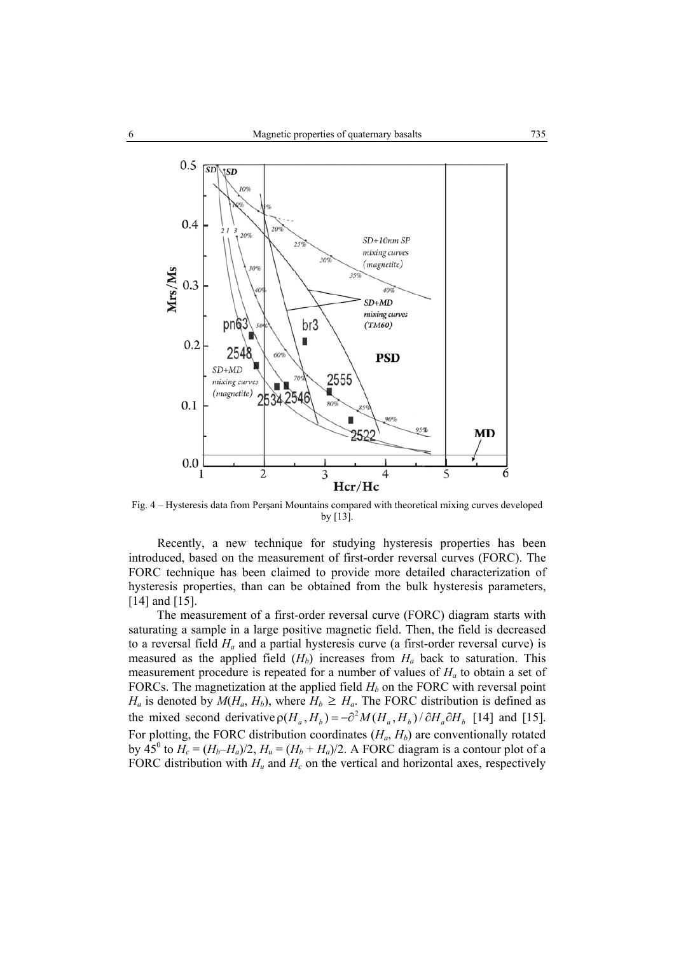

Fig. 4 – Hysteresis data from Perşani Mountains compared with theoretical mixing curves developed by [13].

Recently, a new technique for studying hysteresis properties has been introduced, based on the measurement of first-order reversal curves (FORC). The FORC technique has been claimed to provide more detailed characterization of hysteresis properties, than can be obtained from the bulk hysteresis parameters, [14] and [15].

The measurement of a first-order reversal curve (FORC) diagram starts with saturating a sample in a large positive magnetic field. Then, the field is decreased to a reversal field *Ha* and a partial hysteresis curve (a first-order reversal curve) is measured as the applied field  $(H_b)$  increases from  $H_a$  back to saturation. This measurement procedure is repeated for a number of values of *Ha* to obtain a set of FORCs. The magnetization at the applied field  $H_b$  on the FORC with reversal point  $H_a$  is denoted by  $M(H_a, H_b)$ , where  $H_b \geq H_a$ . The FORC distribution is defined as the mixed second derivative  $\rho(H_a, H_b) = -\partial^2 M(H_a, H_b)/\partial H_a \partial H_b$  [14] and [15]. For plotting, the FORC distribution coordinates  $(H_a, H_b)$  are conventionally rotated by  $\overline{45}^{\circ}$  to  $H_c = (H_b - H_a)/2$ ,  $H_u = (H_b + H_a)/2$ . A FORC diagram is a contour plot of a FORC distribution with  $H_u$  and  $H_c$  on the vertical and horizontal axes, respectively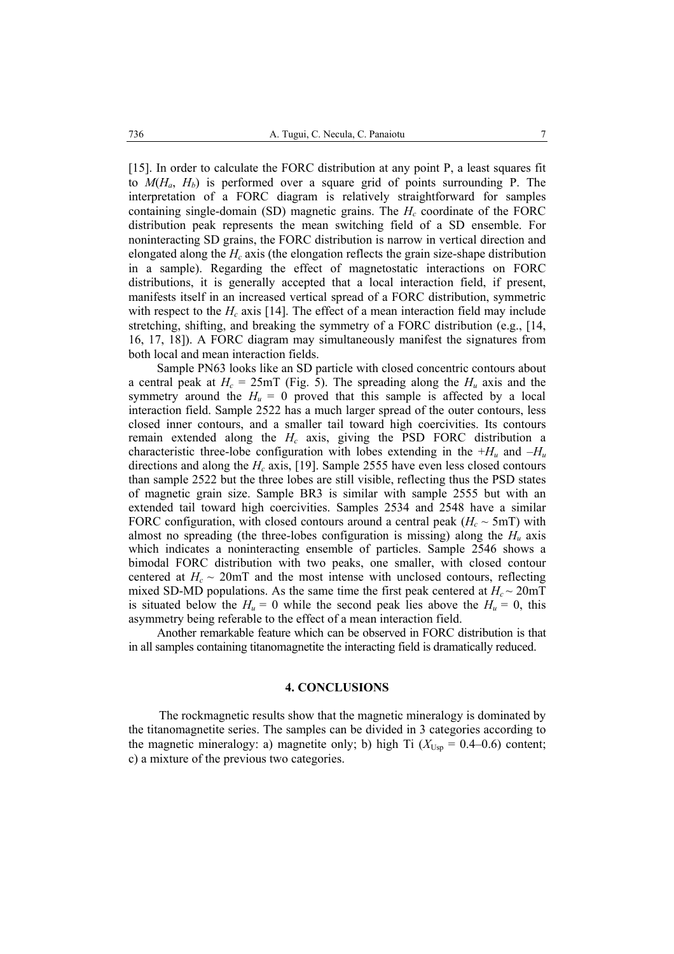[15]. In order to calculate the FORC distribution at any point P, a least squares fit to  $M(H_a, H_b)$  is performed over a square grid of points surrounding P. The interpretation of a FORC diagram is relatively straightforward for samples containing single-domain (SD) magnetic grains. The  $H_c$  coordinate of the FORC distribution peak represents the mean switching field of a SD ensemble. For noninteracting SD grains, the FORC distribution is narrow in vertical direction and elongated along the *Hc* axis (the elongation reflects the grain size-shape distribution in a sample). Regarding the effect of magnetostatic interactions on FORC distributions, it is generally accepted that a local interaction field, if present, manifests itself in an increased vertical spread of a FORC distribution, symmetric with respect to the  $H_c$  axis [14]. The effect of a mean interaction field may include stretching, shifting, and breaking the symmetry of a FORC distribution (e.g., [14, 16, 17, 18]). A FORC diagram may simultaneously manifest the signatures from both local and mean interaction fields.

Sample PN63 looks like an SD particle with closed concentric contours about a central peak at  $H_c = 25 \text{mT}$  (Fig. 5). The spreading along the  $H_u$  axis and the symmetry around the  $H_u = 0$  proved that this sample is affected by a local interaction field. Sample 2522 has a much larger spread of the outer contours, less closed inner contours, and a smaller tail toward high coercivities. Its contours remain extended along the *Hc* axis, giving the PSD FORC distribution a characteristic three-lobe configuration with lobes extending in the  $+H_u$  and  $-H_u$ directions and along the  $H_c$  axis, [19]. Sample 2555 have even less closed contours than sample 2522 but the three lobes are still visible, reflecting thus the PSD states of magnetic grain size. Sample BR3 is similar with sample 2555 but with an extended tail toward high coercivities. Samples 2534 and 2548 have a similar FORC configuration, with closed contours around a central peak  $(H_c \sim 5 \text{mT})$  with almost no spreading (the three-lobes configuration is missing) along the  $H_u$  axis which indicates a noninteracting ensemble of particles. Sample 2546 shows a bimodal FORC distribution with two peaks, one smaller, with closed contour centered at  $H_c \sim 20$  mT and the most intense with unclosed contours, reflecting mixed SD-MD populations. As the same time the first peak centered at  $H_c \sim 20$ mT is situated below the  $H_u = 0$  while the second peak lies above the  $H_u = 0$ , this asymmetry being referable to the effect of a mean interaction field.

Another remarkable feature which can be observed in FORC distribution is that in all samples containing titanomagnetite the interacting field is dramatically reduced.

## **4. CONCLUSIONS**

The rockmagnetic results show that the magnetic mineralogy is dominated by the titanomagnetite series. The samples can be divided in 3 categories according to the magnetic mineralogy: a) magnetite only; b) high Ti  $(X_{Usp} = 0.4{\text{-}}0.6)$  content; c) a mixture of the previous two categories.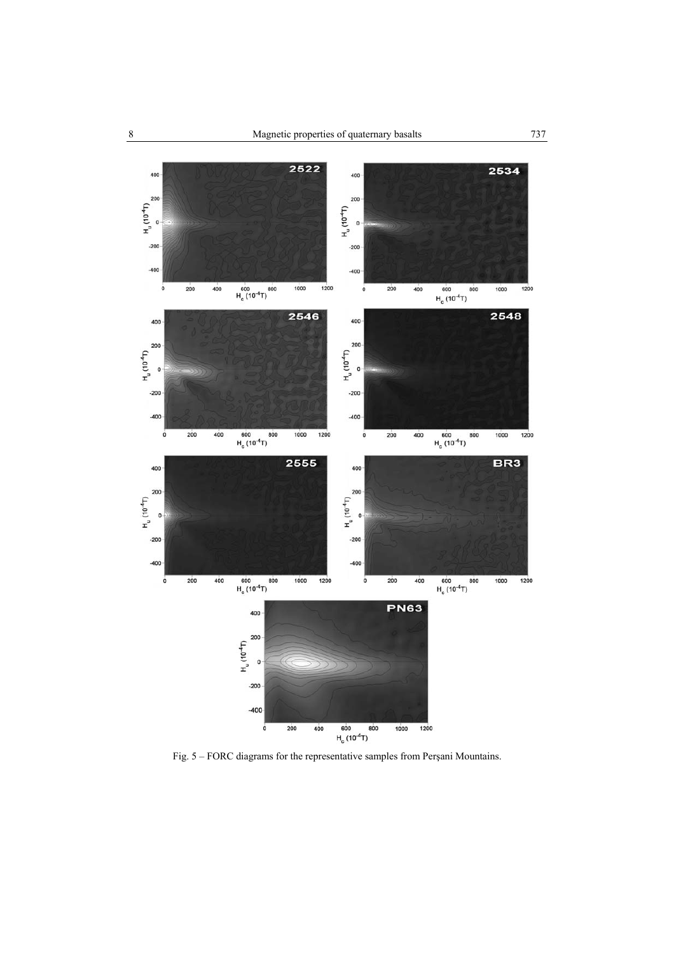

Fig. 5 – FORC diagrams for the representative samples from Perşani Mountains.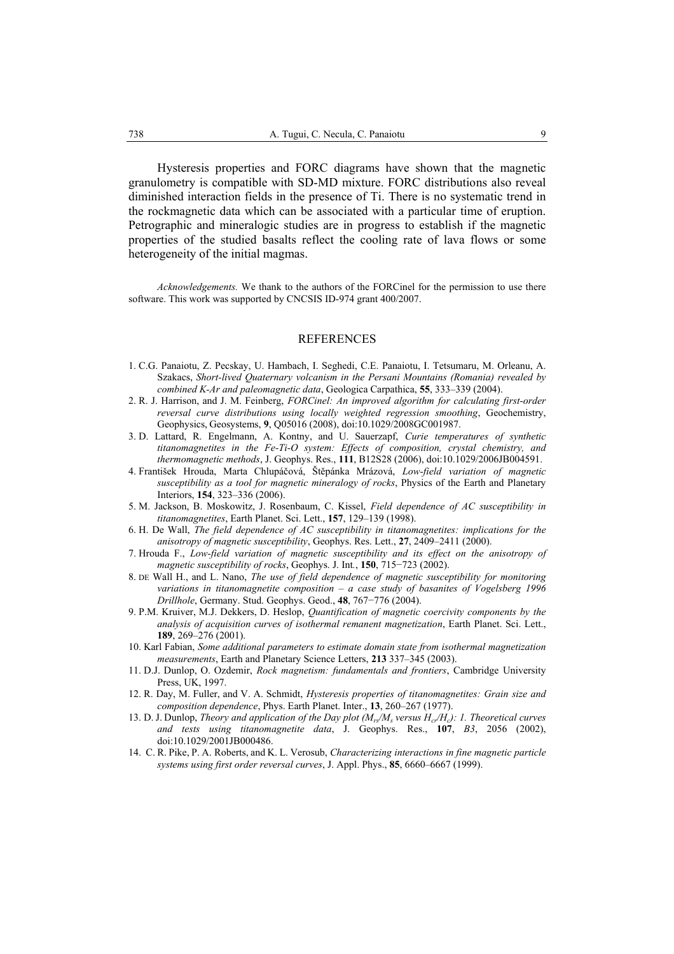Hysteresis properties and FORC diagrams have shown that the magnetic granulometry is compatible with SD-MD mixture. FORC distributions also reveal diminished interaction fields in the presence of Ti. There is no systematic trend in the rockmagnetic data which can be associated with a particular time of eruption. Petrographic and mineralogic studies are in progress to establish if the magnetic properties of the studied basalts reflect the cooling rate of lava flows or some heterogeneity of the initial magmas.

*Acknowledgements.* We thank to the authors of the FORCinel for the permission to use there software. This work was supported by CNCSIS ID-974 grant 400/2007.

#### REFERENCES

- 1. C.G. Panaiotu, Z. Pecskay, U. Hambach, I. Seghedi, C.E. Panaiotu, I. Tetsumaru, M. Orleanu, A. Szakacs, *Short-lived Quaternary volcanism in the Persani Mountains (Romania) revealed by combined K-Ar and paleomagnetic data*, Geologica Carpathica, **55**, 333–339 (2004).
- 2. R. J. Harrison, and J. M. Feinberg, *FORCinel: An improved algorithm for calculating first-order reversal curve distributions using locally weighted regression smoothing*, Geochemistry, Geophysics, Geosystems, **9**, Q05016 (2008), doi:10.1029/2008GC001987.
- 3. D. Lattard, R. Engelmann, A. Kontny, and U. Sauerzapf, *Curie temperatures of synthetic titanomagnetites in the Fe-Ti-O system: Effects of composition, crystal chemistry, and thermomagnetic methods*, J. Geophys. Res., **111**, B12S28 (2006), doi:10.1029/2006JB004591.
- 4. František Hrouda, Marta Chlupáčová, Štěpánka Mrázová, *Low-field variation of magnetic susceptibility as a tool for magnetic mineralogy of rocks*, Physics of the Earth and Planetary Interiors, **154**, 323–336 (2006).
- 5. M. Jackson, B. Moskowitz, J. Rosenbaum, C. Kissel, *Field dependence of AC susceptibility in titanomagnetites*, Earth Planet. Sci. Lett., **157**, 129–139 (1998).
- 6. H. De Wall, *The field dependence of AC susceptibility in titanomagnetites: implications for the anisotropy of magnetic susceptibility*, Geophys. Res. Lett., **27**, 2409–2411 (2000).
- 7. Hrouda F., *Low-field variation of magnetic susceptibility and its effect on the anisotropy of magnetic susceptibility of rocks*, Geophys. J. Int*.*, **150**, 715−723 (2002).
- 8. DE Wall H., and L. Nano, *The use of field dependence of magnetic susceptibility for monitoring variations in titanomagnetite composition – a case study of basanites of Vogelsberg 1996 Drillhole*, Germany. Stud. Geophys. Geod., **48**, 767−776 (2004).
- 9. P.M. Kruiver, M.J. Dekkers, D. Heslop, *Quantification of magnetic coercivity components by the analysis of acquisition curves of isothermal remanent magnetization*, Earth Planet. Sci. Lett., **189**, 269–276 (2001).
- 10. Karl Fabian, *Some additional parameters to estimate domain state from isothermal magnetization measurements*, Earth and Planetary Science Letters, **213** 337–345 (2003).
- 11. D.J. Dunlop, O. Ozdemir, *Rock magnetism: fundamentals and frontiers*, Cambridge University Press, UK, 1997.
- 12. R. Day, M. Fuller, and V. A. Schmidt, *Hysteresis properties of titanomagnetites: Grain size and composition dependence*, Phys. Earth Planet. Inter., **13**, 260–267 (1977).
- 13. D. J. Dunlop, *Theory and application of the Day plot (Mrs/Ms versus Hcr/Hc): 1. Theoretical curves and tests using titanomagnetite data*, J. Geophys. Res., **107**, *B3*, 2056 (2002), doi:10.1029/2001JB000486.
- 14. C. R. Pike, P. A. Roberts, and K. L. Verosub, *Characterizing interactions in fine magnetic particle systems using first order reversal curves*, J. Appl. Phys., **85**, 6660–6667 (1999).